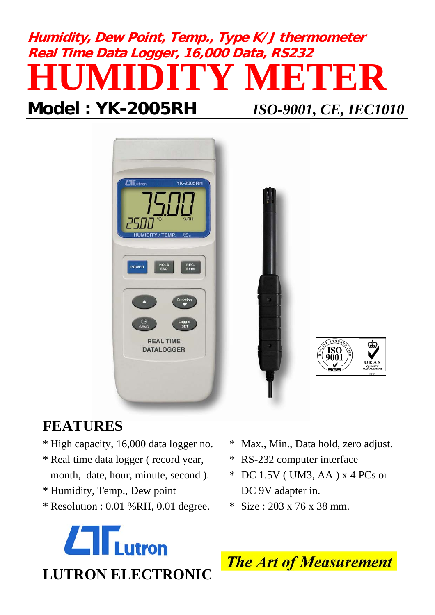# **Humidity, Dew Point, Temp., Type K/J thermometer Real Time Data Logger, 16,000 Data, RS232 HUMIDITY METER**

## **Model : YK-2005RH** *ISO-9001, CE, IEC1010*



## ASSUA 9001

## **FEATURES**

- \* High capacity, 16,000 data logger no. \* Max., Min., Data hold, zero adjust.
- \* Real time data logger ( record year, \* RS-232 computer interface month, date, hour, minute, second ). \* DC 1.5V (UM3, AA ) x 4 PCs or
- \* Humidity, Temp., Dew point DC 9V adapter in.
- \* Resolution :  $0.01$  % RH,  $0.01$  degree. \* Size :  $203 \times 76 \times 38$  mm.
- 
- 
- -



**The Art of Measurement**